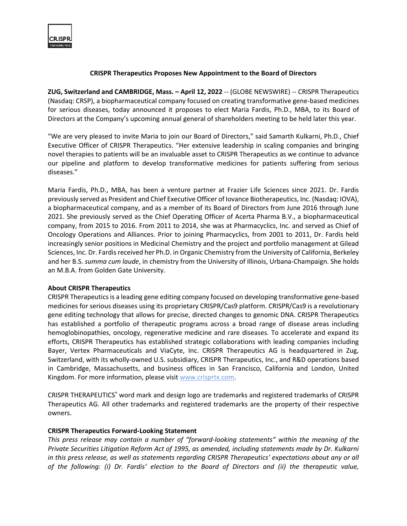

## **CRISPR Therapeutics Proposes New Appointment to the Board of Directors**

**ZUG, Switzerland and CAMBRIDGE, Mass. – April 12, 2022** -- (GLOBE NEWSWIRE) -- CRISPR Therapeutics (Nasdaq: CRSP), a biopharmaceutical company focused on creating transformative gene-based medicines for serious diseases, today announced it proposes to elect Maria Fardis, Ph.D., MBA, to its Board of Directors at the Company's upcoming annual general of shareholders meeting to be held later this year.

"We are very pleased to invite Maria to join our Board of Directors," said Samarth Kulkarni, Ph.D., Chief Executive Officer of CRISPR Therapeutics. "Her extensive leadership in scaling companies and bringing novel therapies to patients will be an invaluable asset to CRISPR Therapeutics as we continue to advance our pipeline and platform to develop transformative medicines for patients suffering from serious diseases."

Maria Fardis, Ph.D., MBA, has been a venture partner at Frazier Life Sciences since 2021. Dr. Fardis previously served as President and Chief Executive Officer of Iovance Biotherapeutics, Inc. (Nasdaq: IOVA), a biopharmaceutical company, and as a member of its Board of Directors from June 2016 through June 2021. She previously served as the Chief Operating Officer of Acerta Pharma B.V., a biopharmaceutical company, from 2015 to 2016. From 2011 to 2014, she was at Pharmacyclics, Inc. and served as Chief of Oncology Operations and Alliances. Prior to joining Pharmacyclics, from 2001 to 2011, Dr. Fardis held increasingly senior positions in Medicinal Chemistry and the project and portfolio management at Gilead Sciences, Inc. Dr. Fardis received her Ph.D. in Organic Chemistry from the University of California, Berkeley and her B.S. *summa cum laude*, in chemistry from the University of Illinois, Urbana-Champaign. She holds an M.B.A. from Golden Gate University.

## **About CRISPR Therapeutics**

CRISPR Therapeutics is a leading gene editing company focused on developing transformative gene-based medicines for serious diseases using its proprietary CRISPR/Cas9 platform. CRISPR/Cas9 is a revolutionary gene editing technology that allows for precise, directed changes to genomic DNA. CRISPR Therapeutics has established a portfolio of therapeutic programs across a broad range of disease areas including hemoglobinopathies, oncology, regenerative medicine and rare diseases. To accelerate and expand its efforts, CRISPR Therapeutics has established strategic collaborations with leading companies including Bayer, Vertex Pharmaceuticals and ViaCyte, Inc. CRISPR Therapeutics AG is headquartered in Zug, Switzerland, with its wholly-owned U.S. subsidiary, CRISPR Therapeutics, Inc., and R&D operations based in Cambridge, Massachusetts, and business offices in San Francisco, California and London, United Kingdom. For more information, please visit [www.crisprtx.com.](https://www.globenewswire.com/Tracker?data=XnFpgKXULoei-sBjc2JAkRAX8QxzwL7bJ1IVDCwK76B7FN-LULRiWpWsiFTMpbvCQUmwru32aezcRv2W-ktEcw==)

CRISPR THERAPEUTICS® word mark and design logo are trademarks and registered trademarks of CRISPR Therapeutics AG. All other trademarks and registered trademarks are the property of their respective owners.

## **CRISPR Therapeutics Forward-Looking Statement**

*This press release may contain a number of "forward-looking statements" within the meaning of the Private Securities Litigation Reform Act of 1995, as amended, including statements made by Dr. Kulkarni in this press release, as well as statements regarding CRISPR Therapeutics' expectations about any or all of the following: (i) Dr. Fardis' election to the Board of Directors and (ii) the therapeutic value,*